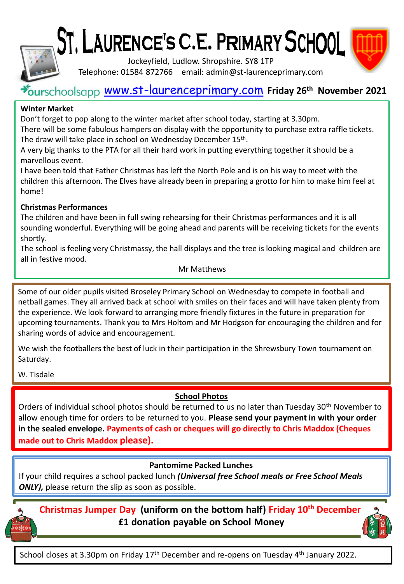# ST, LAURENCE'S C.E. PRIMARY SCHOOL

Jockeyfield, Ludlow. Shropshire. SY8 1TP



Telephone: 01584 872766 email: admin@st-laurenceprimary.com

# [www.st-laurenceprimary.com](http://www.st-laurenceprimary.com/) **Friday 26th November 2021**

## **Winter Market**

Don't forget to pop along to the winter market after school today, starting at 3.30pm.

There will be some fabulous hampers on display with the opportunity to purchase extra raffle tickets. The draw will take place in school on Wednesday December 15<sup>th</sup>.

A very big thanks to the PTA for all their hard work in putting everything together it should be a marvellous event.

I have been told that Father Christmas has left the North Pole and is on his way to meet with the children this afternoon. The Elves have already been in preparing a grotto for him to make him feel at home!

## **Christmas Performances**

The children and have been in full swing rehearsing for their Christmas performances and it is all sounding wonderful. Everything will be going ahead and parents will be receiving tickets for the events shortly.

The school is feeling very Christmassy, the hall displays and the tree is looking magical and children are all in festive mood.

#### Mr Matthews

Some of our older pupils visited Broseley Primary School on Wednesday to compete in football and netball games. They all arrived back at school with smiles on their faces and will have taken plenty from the experience. We look forward to arranging more friendly fixtures in the future in preparation for upcoming tournaments. Thank you to Mrs Holtom and Mr Hodgson for encouraging the children and for sharing words of advice and encouragement.

We wish the footballers the best of luck in their participation in the Shrewsbury Town tournament on Saturday.

## W. Tisdale

# **School Photos**

Orders of individual school photos should be returned to us no later than Tuesday 30<sup>th</sup> November to allow enough time for orders to be returned to you. **Please send your payment in with your order in the sealed envelope. Payments of cash or cheques will go directly to Chris Maddox (Cheques made out to Chris Maddox please).**

## **Pantomime Packed Lunches**

If your child requires a school packed lunch *(Universal free School meals or Free School Meals*  **ONLY)**, please return the slip as soon as possible.



**Christmas Jumper Day (uniform on the bottom half) Friday 10th December £1 donation payable on School Money**



School closes at 3.30pm on Friday  $17<sup>th</sup>$  December and re-opens on Tuesday  $4<sup>th</sup>$  January 2022.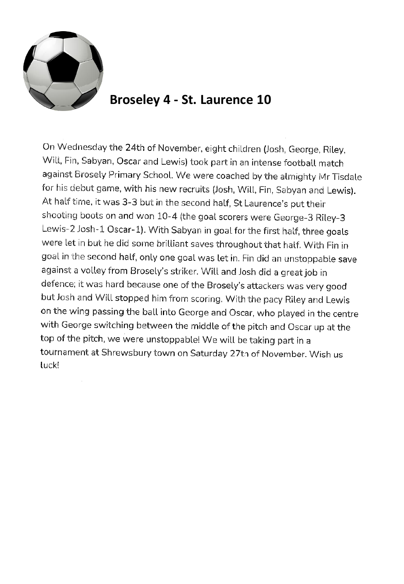

# **Broseley 4 - St. Laurence 10**

On Wednesday the 24th of November, eight children (Josh, George, Riley, Will, Fin, Sabyan, Oscar and Lewis) took part in an intense football match against Brosely Primary School. We were coached by the almighty Mr Tisdale for his debut game, with his new recruits (Josh, Will, Fin, Sabyan and Lewis). At half time, it was 3-3 but in the second half, St Laurence's put their shooting boots on and won 10-4 (the goal scorers were George-3 Riley-3 Lewis-2 Josh-1 Oscar-1). With Sabyan in goal for the first half, three goals were let in but he did some brilliant saves throughout that half. With Fin in goal in the second half, only one goal was let in. Fin did an unstoppable save against a volley from Brosely's striker. Will and Josh did a great job in defence; it was hard because one of the Brosely's attackers was very good but Josh and Will stopped him from scoring. With the pacy Riley and Lewis on the wing passing the ball into George and Oscar, who played in the centre with George switching between the middle of the pitch and Oscar up at the top of the pitch, we were unstoppable! We will be taking part in a tournament at Shrewsbury town on Saturday 27th of November. Wish us luck!